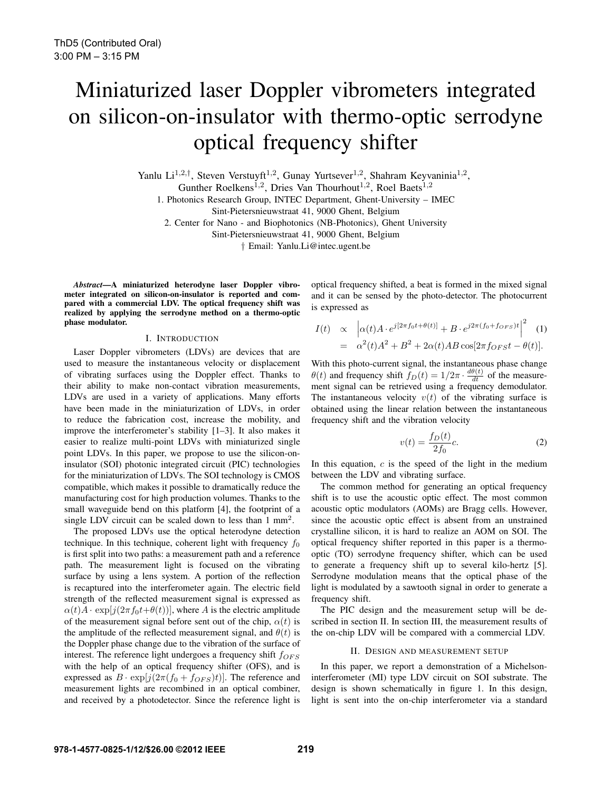# Miniaturized laser Doppler vibrometers integrated on silicon-on-insulator with thermo-optic serrodyne optical frequency shifter

Yanlu Li<sup>1,2,†</sup>, Steven Verstuyft<sup>1,2</sup>, Gunay Yurtsever<sup>1,2</sup>, Shahram Keyvaninia<sup>1,2</sup>,

Gunther Roelkens<sup>1,2</sup>, Dries Van Thourhout<sup>1,2</sup>, Roel Baets<sup>1,2</sup>

1. Photonics Research Group, INTEC Department, Ghent-University – IMEC

Sint-Pietersnieuwstraat 41, 9000 Ghent, Belgium

2. Center for Nano - and Biophotonics (NB-Photonics), Ghent University

Sint-Pietersnieuwstraat 41, 9000 Ghent, Belgium

† Email: Yanlu.Li@intec.ugent.be

*Abstract*—A miniaturized heterodyne laser Doppler vibrometer integrated on silicon-on-insulator is reported and compared with a commercial LDV. The optical frequency shift was realized by applying the serrodyne method on a thermo-optic phase modulator.

### I. INTRODUCTION

Laser Doppler vibrometers (LDVs) are devices that are used to measure the instantaneous velocity or displacement of vibrating surfaces using the Doppler effect. Thanks to their ability to make non-contact vibration measurements, LDVs are used in a variety of applications. Many efforts have been made in the miniaturization of LDVs, in order to reduce the fabrication cost, increase the mobility, and improve the interferometer's stability [1–3]. It also makes it easier to realize multi-point LDVs with miniaturized single point LDVs. In this paper, we propose to use the silicon-oninsulator (SOI) photonic integrated circuit (PIC) technologies for the miniaturization of LDVs. The SOI technology is CMOS compatible, which makes it possible to dramatically reduce the manufacturing cost for high production volumes. Thanks to the small waveguide bend on this platform [4], the footprint of a single LDV circuit can be scaled down to less than 1 mm<sup>2</sup>.

The proposed LDVs use the optical heterodyne detection technique. In this technique, coherent light with frequency  $f_0$ is first split into two paths: a measurement path and a reference path. The measurement light is focused on the vibrating surface by using a lens system. A portion of the reflection is recaptured into the interferometer again. The electric field strength of the reflected measurement signal is expressed as  $\alpha(t)A \cdot \exp[j(2\pi f_0 t + \theta(t))]$ , where A is the electric amplitude of the measurement signal before sent out of the chip,  $\alpha(t)$  is the amplitude of the reflected measurement signal, and  $\theta(t)$  is the Doppler phase change due to the vibration of the surface of interest. The reference light undergoes a frequency shift  $f_{OFS}$ with the help of an optical frequency shifter (OFS), and is expressed as  $B \cdot \exp[j(2\pi (f_0 + f_{OFS})t)]$ . The reference and measurement lights are recombined in an optical combiner, and received by a photodetector. Since the reference light is optical frequency shifted, a beat is formed in the mixed signal and it can be sensed by the photo-detector. The photocurrent is expressed as

$$
I(t) \propto \left| \alpha(t) A \cdot e^{j[2\pi f_0 t + \theta(t)]} + B \cdot e^{j2\pi (f_0 + f_{OFS})t} \right|^2 \quad (1)
$$
  
=  $\alpha^2(t) A^2 + B^2 + 2\alpha(t) AB \cos[2\pi f_{OFS} t - \theta(t)].$ 

With this photo-current signal, the instantaneous phase change  $\theta(t)$  and frequency shift  $f_D(t) = 1/2\pi \cdot \frac{d\theta(t)}{dt}$  of the measurement signal can be retrieved using a frequency demodulator. The instantaneous velocity  $v(t)$  of the vibrating surface is obtained using the linear relation between the instantaneous frequency shift and the vibration velocity

$$
v(t) = \frac{f_D(t)}{2f_0}c.\tag{2}
$$

In this equation,  $c$  is the speed of the light in the medium between the LDV and vibrating surface.

The common method for generating an optical frequency shift is to use the acoustic optic effect. The most common acoustic optic modulators (AOMs) are Bragg cells. However, since the acoustic optic effect is absent from an unstrained crystalline silicon, it is hard to realize an AOM on SOI. The optical frequency shifter reported in this paper is a thermooptic (TO) serrodyne frequency shifter, which can be used to generate a frequency shift up to several kilo-hertz [5]. Serrodyne modulation means that the optical phase of the light is modulated by a sawtooth signal in order to generate a frequency shift.

The PIC design and the measurement setup will be described in section II. In section III, the measurement results of the on-chip LDV will be compared with a commercial LDV.

#### II. DESIGN AND MEASUREMENT SETUP

In this paper, we report a demonstration of a Michelsoninterferometer (MI) type LDV circuit on SOI substrate. The design is shown schematically in figure 1. In this design, light is sent into the on-chip interferometer via a standard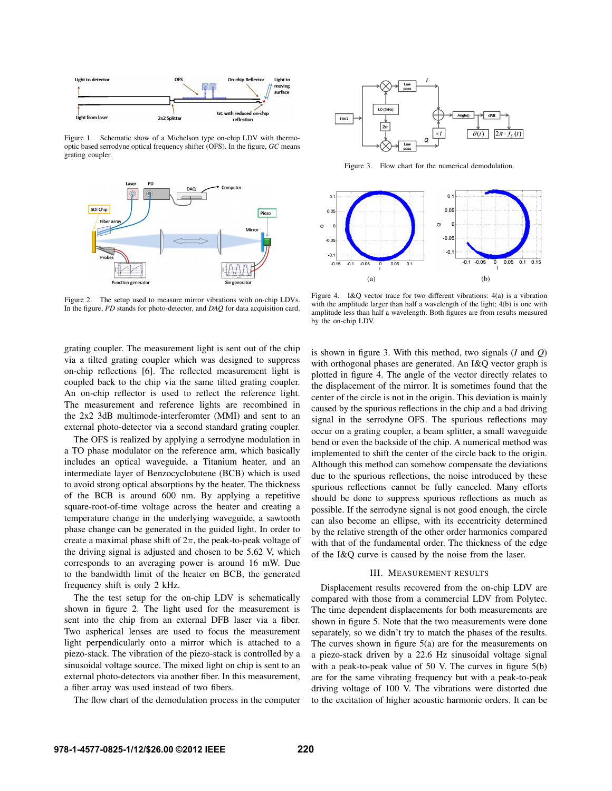

Figure 1. Schematic show of a Michelson type on-chip LDV with thermooptic based serrodyne optical frequency shifter (OFS). In the figure, *GC* means grating coupler.



Figure 2. The setup used to measure mirror vibrations with on-chip LDVs. In the figure, *PD* stands for photo-detector, and *DAQ* for data acquisition card.



Figure 3. Flow chart for the numerical demodulation.



Figure 4. I&Q vector trace for two different vibrations: 4(a) is a vibration with the amplitude larger than half a wavelength of the light; 4(b) is one with amplitude less than half a wavelength. Both figures are from results measured by the on-chip LDV.

grating coupler. The measurement light is sent out of the chip via a tilted grating coupler which was designed to suppress on-chip reflections [6]. The reflected measurement light is coupled back to the chip via the same tilted grating coupler. An on-chip reflector is used to reflect the reference light. The measurement and reference lights are recombined in the 2x2 3dB multimode-interferomter (MMI) and sent to an external photo-detector via a second standard grating coupler.

The OFS is realized by applying a serrodyne modulation in a TO phase modulator on the reference arm, which basically includes an optical waveguide, a Titanium heater, and an intermediate layer of Benzocyclobutene (BCB) which is used to avoid strong optical absorptions by the heater. The thickness of the BCB is around 600 nm. By applying a repetitive square-root-of-time voltage across the heater and creating a temperature change in the underlying waveguide, a sawtooth phase change can be generated in the guided light. In order to create a maximal phase shift of  $2\pi$ , the peak-to-peak voltage of the driving signal is adjusted and chosen to be 5.62 V, which corresponds to an averaging power is around 16 mW. Due to the bandwidth limit of the heater on BCB, the generated frequency shift is only 2 kHz.

The the test setup for the on-chip LDV is schematically shown in figure 2. The light used for the measurement is sent into the chip from an external DFB laser via a fiber. Two aspherical lenses are used to focus the measurement light perpendicularly onto a mirror which is attached to a piezo-stack. The vibration of the piezo-stack is controlled by a sinusoidal voltage source. The mixed light on chip is sent to an external photo-detectors via another fiber. In this measurement, a fiber array was used instead of two fibers.

The flow chart of the demodulation process in the computer

is shown in figure 3. With this method, two signals (*I* and *Q*) with orthogonal phases are generated. An I&Q vector graph is plotted in figure 4. The angle of the vector directly relates to the displacement of the mirror. It is sometimes found that the center of the circle is not in the origin. This deviation is mainly caused by the spurious reflections in the chip and a bad driving signal in the serrodyne OFS. The spurious reflections may occur on a grating coupler, a beam splitter, a small waveguide bend or even the backside of the chip. A numerical method was implemented to shift the center of the circle back to the origin. Although this method can somehow compensate the deviations due to the spurious reflections, the noise introduced by these spurious reflections cannot be fully canceled. Many efforts should be done to suppress spurious reflections as much as possible. If the serrodyne signal is not good enough, the circle can also become an ellipse, with its eccentricity determined by the relative strength of the other order harmonics compared with that of the fundamental order. The thickness of the edge of the I&Q curve is caused by the noise from the laser.

### III. MEASUREMENT RESULTS

Displacement results recovered from the on-chip LDV are compared with those from a commercial LDV from Polytec. The time dependent displacements for both measurements are shown in figure 5. Note that the two measurements were done separately, so we didn't try to match the phases of the results. The curves shown in figure  $5(a)$  are for the measurements on a piezo-stack driven by a 22.6 Hz sinusoidal voltage signal with a peak-to-peak value of 50 V. The curves in figure 5(b) are for the same vibrating frequency but with a peak-to-peak driving voltage of 100 V. The vibrations were distorted due to the excitation of higher acoustic harmonic orders. It can be